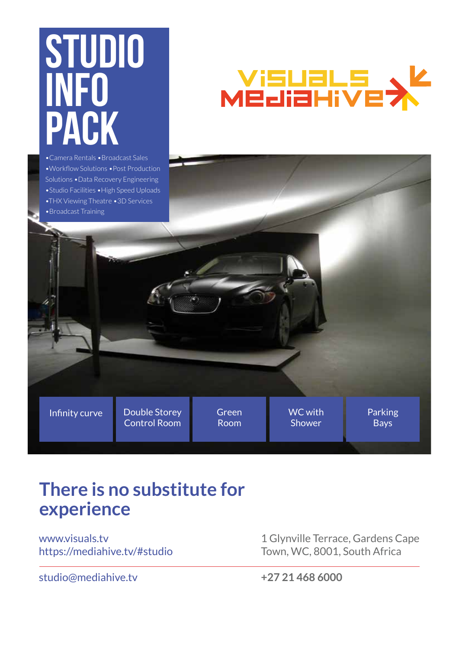# **STUDIO INFO PACK** •Camera Rentals •Broadcast Sales

•Workflow Solutions •Post Production Solutions •Data Recovery Engineering •Studio Facilities •High Speed Uploads •THX Viewing Theatre •3D Services •Broadcast Training

# Visuals<br>Mediarive

Infinity curve Double Storey Green Room Double Storey Control Room WC with Shower

# **There is no substitute for experience**

www.visuals.tv https://mediahive.tv/#studio

studio@mediahive.tv

1 Glynville Terrace, Gardens Cape Town, WC, 8001, South Africa

Parking Bays

**+27 21 468 6000**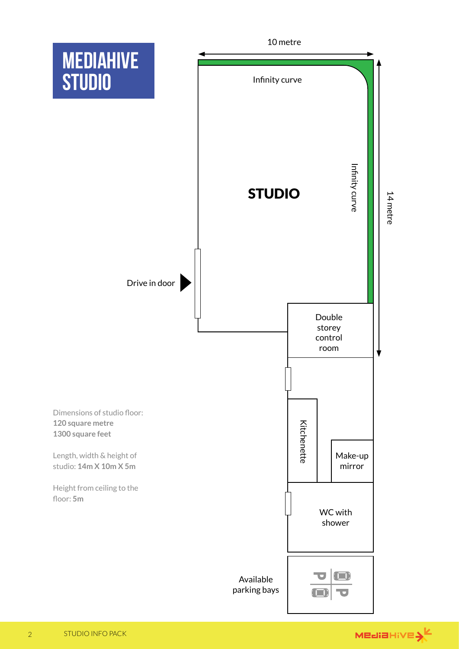

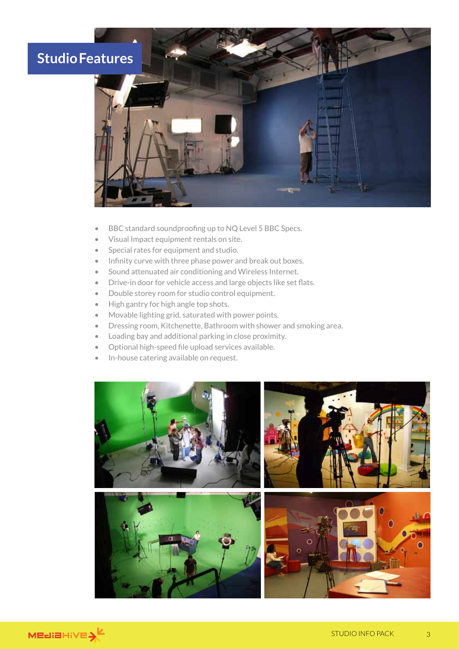# **Studio Features**



- BBC standard soundproofing up to NQ Level 5 BBC Specs.
- Visual Impact equipment rentals on site.
- Special rates for equipment and studio.
- Infinity curve with three phase power and break out boxes.
- Sound attenuated air conditioning and Wireless Internet.
- Drive-in door for vehicle access and large objects like set flats.
- Double storey room for studio control equipment.
- High gantry for high angle top shots.
- Movable lighting grid, saturated with power points.
- Dressing room, Kitchenette, Bathroom with shower and smoking area.
- Loading bay and additional parking in close proximity.
- Optional high-speed file upload services available.
- In-house catering available on request.



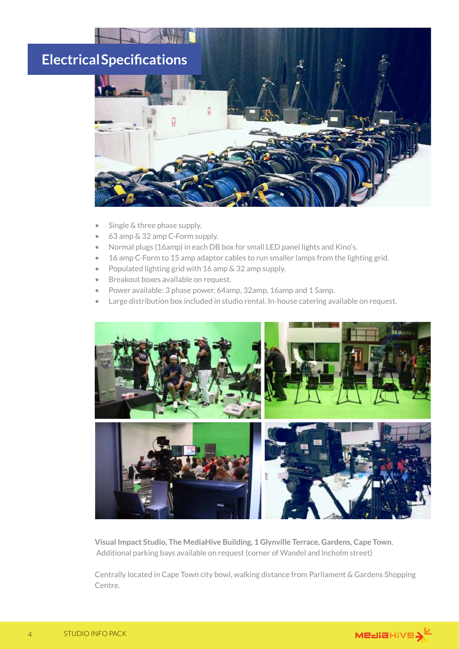# **Electrical Specifications**



Single & three phase supply.

TH

- 63 amp & 32 amp C-Form supply.
- Normal plugs (16amp) in each DB box for small LED panel lights and Kino's.
- 16 amp C-Form to 15 amp adaptor cables to run smaller lamps from the lighting grid.
- Populated lighting grid with 16 amp & 32 amp supply.
- Breakout boxes available on request.
- Power available: 3 phase power, 64amp, 32amp, 16amp and 1 Samp.
- Large distribution box included in studio rental. In-house catering available on request.



**Visual Impact Studio, The MediaHive Building, 1 Glynville Terrace, Gardens, Cape Town.** Additional parking bays available on request (corner of Wandel and lncholm street)

Centrally located in Cape Town city bowl, walking distance from Parliament & Gardens Shopping Centre.

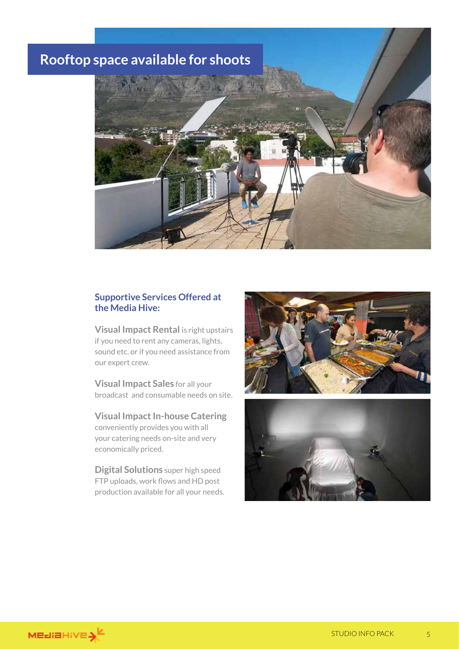### **Rooftop space available for shoots**



#### **Supportive Services Offered at the Media Hive:**

**Visual Impact Rental** is right upstairs if you need to rent any cameras, lights, sound etc. or if you need assistance from our expert crew.

**Visual Impact Sales** for all your broadcast and consumable needs on site.

**Visual Impact In-house Catering** conveniently provides you with all your catering needs on-site and very economically priced.

**Digital Solutions** super high speed FTP uploads, work flows and HD post production available for all your needs.





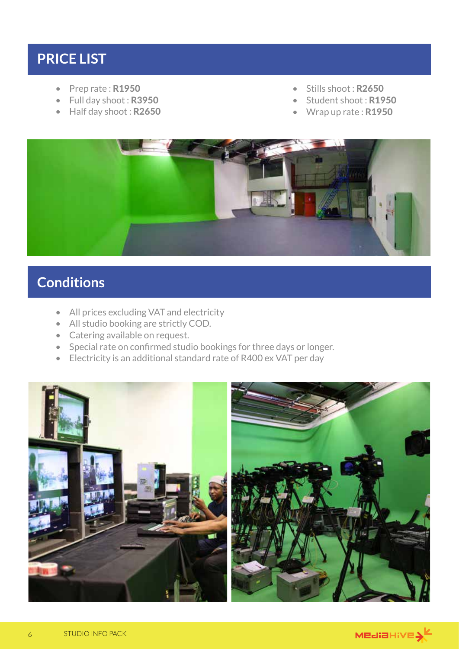### **PRICE LIST**

- Prep rate: R1950
- Full day shoot: R3950
- Half day shoot: R2650
- Stills shoot: R2650
- Student shoot: R1950
- Wrap up rate : R1950



## **Conditions**

- All prices excluding VAT and electricity
- All studio booking are strictly COD.
- Catering available on request.
- Special rate on confirmed studio bookings for three days or longer.
- Electricity is an additional standard rate of R400 ex VAT per day